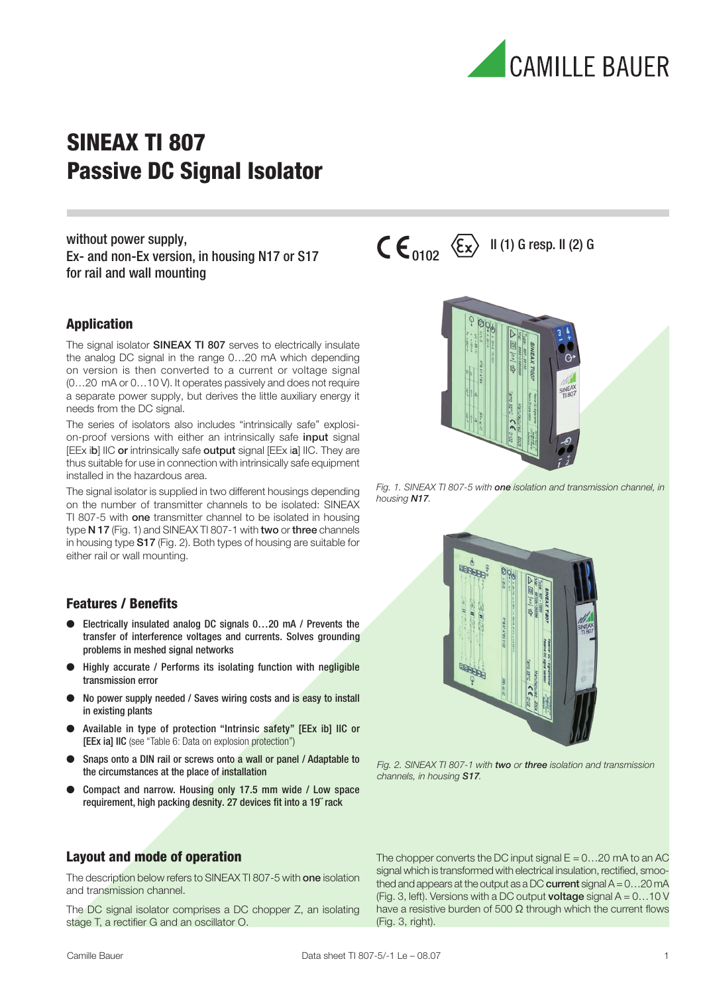

without power supply, Ex- and non-Ex version, in housing N17 or S17 for rail and wall mounting

#### Application

The signal isolator **SINEAX TI 807** serves to electrically insulate the analog DC signal in the range 0…20 mA which depending on version is then converted to a current or voltage signal (0…20 mA or 0…10 V). It operates passively and does not require a separate power supply, but derives the little auxiliary energy it needs from the DC signal.

The series of isolators also includes "intrinsically safe" explosion-proof versions with either an intrinsically safe *input* signal [EEx ib] IIC or intrinsically safe output signal [EEx ia] IIC. They are thus suitable for use in connection with intrinsically safe equipment installed in the hazardous area.

The signal isolator is supplied in two different housings depending on the number of transmitter channels to be isolated: SINEAX TI 807-5 with one transmitter channel to be isolated in housing type N 17 (Fig. 1) and SINEAX TI 807-1 with two or three channels in housing type S17 (Fig. 2). Both types of housing are suitable for either rail or wall mounting.

#### Features / Benefits

- Electrically insulated analog DC signals 0...20 mA / Prevents the transfer of interference voltages and currents. Solves grounding problems in meshed signal networks
- Highly accurate / Performs its isolating function with negligible transmission error
- No power supply needed / Saves wiring costs and is easy to install in existing plants
- Available in type of protection "Intrinsic safety" [EEx ib] IIC or [EEx ia] IIC (see "Table 6: Data on explosion protection")
- Snaps onto a DIN rail or screws onto a wall or panel / Adaptable to the circumstances at the place of installation
- Compact and narrow. Housing only 17.5 mm wide / Low space requirement, high packing desnity. 27 devices fit into a 19˝ rack

#### Layout and mode of operation

The description below refers to SINEAX TI 807-5 with one isolation and transmission channel.

The DC signal isolator comprises a DC chopper Z, an isolating stage T, a rectifier G and an oscillator O.



 $\mathsf{C}\mathsf{E}_{\mathsf{0102}}\ \left\langle \mathsf{\widetilde{E}x}\right\rangle$  II (1) G resp. II (2) G

Fig. 1. SINEAX TI 807-5 with one isolation and transmission channel, in housing N17.



Fig. 2. SINEAX TI 807-1 with two or three isolation and transmission channels, in housing S17.

The chopper converts the DC input signal  $E = 0...20$  mA to an AC signal which is transformed with electrical insulation, rectified, smoothed and appears at the output as a DC current signal  $A = 0...20$  mA (Fig. 3, left). Versions with a DC output **voltage** signal  $A = 0...10$  V have a resistive burden of 500  $\Omega$  through which the current flows (Fig. 3, right).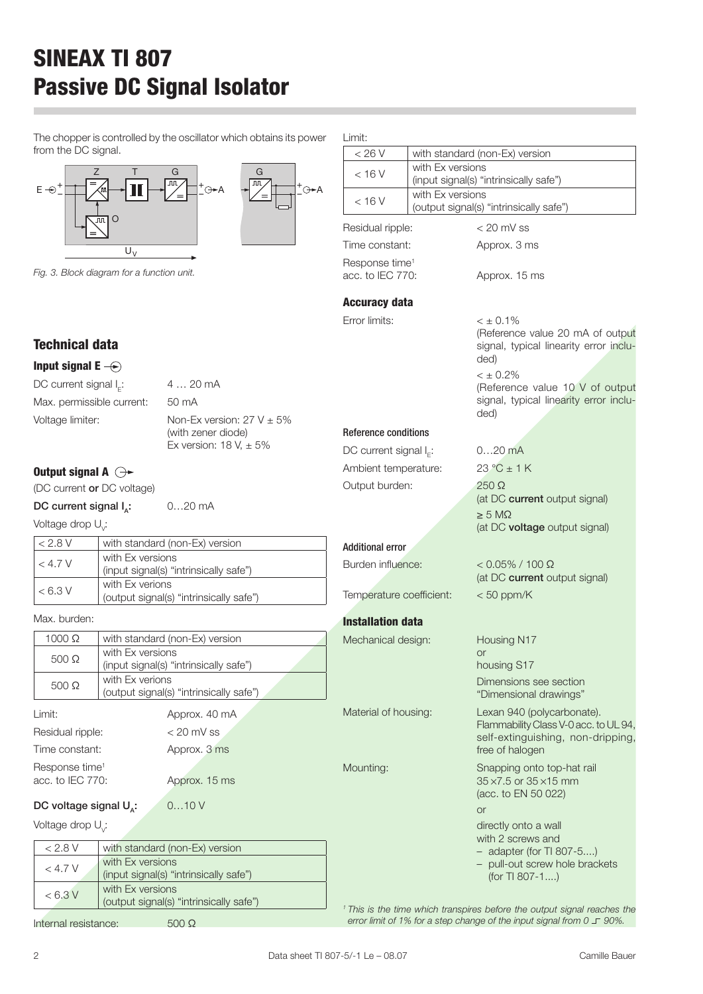The chopper is controlled by the oscillator which obtains from the DC signal.



Fig. 3. Block diagram for a function unit.

Limit:

| its power         | Limit:                      |                  |                                                                                                                             |  |  |
|-------------------|-----------------------------|------------------|-----------------------------------------------------------------------------------------------------------------------------|--|--|
|                   | < 26 V                      |                  | with standard (non-Ex) version                                                                                              |  |  |
|                   | < 16 V                      | with Ex versions |                                                                                                                             |  |  |
| +⊝ <del>►</del> A |                             | with Ex versions | (input signal(s) "intrinsically safe")                                                                                      |  |  |
|                   | $<$ 16 V                    |                  | (output signal(s) "intrinsically safe")                                                                                     |  |  |
|                   | Residual ripple:            |                  | $<$ 20 mV ss                                                                                                                |  |  |
|                   | Time constant:              |                  | Approx. 3 ms                                                                                                                |  |  |
|                   | Response time <sup>1</sup>  |                  |                                                                                                                             |  |  |
|                   | acc. to IEC 770:            |                  | Approx. 15 ms                                                                                                               |  |  |
|                   |                             |                  |                                                                                                                             |  |  |
|                   | <b>Accuracy data</b>        |                  |                                                                                                                             |  |  |
|                   | Error limits:               |                  | $< \pm 0.1\%$                                                                                                               |  |  |
|                   |                             |                  | (Reference value 20 mA of output<br>signal, typical linearity error inclu-<br>ded)                                          |  |  |
|                   |                             |                  | $< \pm 0.2\%$<br>(Reference value 10 V of output<br>signal, typical linearity error inclu-<br>ded)                          |  |  |
| ℅                 |                             |                  |                                                                                                                             |  |  |
|                   | <b>Reference conditions</b> |                  |                                                                                                                             |  |  |
|                   | DC current signal $I_{F}$ : |                  | $020$ mA                                                                                                                    |  |  |
|                   | Ambient temperature:        |                  | $23 °C \pm 1 K$                                                                                                             |  |  |
|                   | Output burden:              |                  | 250 Ω                                                                                                                       |  |  |
|                   |                             |                  | (at DC current output signal)                                                                                               |  |  |
|                   |                             |                  | $\geq$ 5 M $\Omega$                                                                                                         |  |  |
|                   |                             |                  | (at DC voltage output signal)                                                                                               |  |  |
|                   | <b>Additional error</b>     |                  |                                                                                                                             |  |  |
|                   | Burden influence:           |                  | $< 0.05\% / 100 \Omega$<br>(at DC current output signal)                                                                    |  |  |
|                   | Temperature coefficient:    |                  | $< 50$ ppm/K                                                                                                                |  |  |
|                   | <b>Installation data</b>    |                  |                                                                                                                             |  |  |
|                   | Mechanical design:          |                  | Housing N17                                                                                                                 |  |  |
|                   |                             |                  | <b>or</b>                                                                                                                   |  |  |
|                   |                             |                  | housing S17                                                                                                                 |  |  |
|                   |                             |                  | Dimensions see section<br>"Dimensional drawings"                                                                            |  |  |
|                   | Material of housing:        |                  | Lexan 940 (polycarbonate).<br>Flammability Class V-0 acc. to UL 94,<br>self-extinguishing, non-dripping,<br>free of halogen |  |  |
|                   | Mounting:                   |                  | Snapping onto top-hat rail<br>35 × 7.5 or 35 × 15 mm<br>(acc. to EN 50 022)                                                 |  |  |
|                   |                             |                  | <b>or</b>                                                                                                                   |  |  |
|                   |                             |                  | directly onto a wall<br>with 2 screws and                                                                                   |  |  |

### Technical data

Input signal  $E \rightarrow$ 

DC current signal  $I_c$ :  $4... 20$  mA Max. permissible current: 50 mA Voltage limiter:  $\blacksquare$  Non-Ex version: 27 V  $\pm$  5%

(with zener diode) Ex version: 18 V,  $\pm$  5%

### Output signal A  $\ominus\rightarrow$

(DC current or DC voltage)

DC current signal  $I_n$ : 0...20 mA

Voltage drop  $\cup_{\scriptscriptstyle \vee}$ :

| < 2.8 V           | with standard (non-Ex) version          |
|-------------------|-----------------------------------------|
| $<$ 4.7 V         | with Ex versions                        |
|                   | (input signal(s) "intrinsically safe")  |
| $< 6.3 \text{ V}$ | with Ex verions                         |
|                   | (output signal(s) "intrinsically safe") |

Max. burden:

| $1000 \Omega$              | with standard (non-Ex) version          |  |  |
|----------------------------|-----------------------------------------|--|--|
| $500 \Omega$               | with Ex versions                        |  |  |
|                            | (input signal(s) "intrinsically safe")  |  |  |
| $500 \Omega$               | with Ex verions                         |  |  |
|                            | (output signal(s) "intrinsically safe") |  |  |
| Limit:                     | Approx. 40 mA                           |  |  |
| Residual ripple:           | $< 20$ mV ss                            |  |  |
| Time constant:             | Approx. 3 ms                            |  |  |
| Response time <sup>1</sup> |                                         |  |  |

acc. to IEC 770: Approx. 15 ms

### DC voltage signal  $U_a$ : 0...10 V

Voltage drop U<sub>v</sub>:

| < 2.8 V   | with standard (non-Ex) version                              |
|-----------|-------------------------------------------------------------|
| $<$ 4.7 V | with Ex versions<br>(input signal(s) "intrinsically safe")  |
| < 6.3 V   | with Ex versions<br>(output signal(s) "intrinsically safe") |

Internal resistance: 500 Ω

 $-$  adapter (for TI 807-5....) – pull-out screw hole brackets (for TI 807-1....)

<sup>1</sup> This is the time which transpires before the output signal reaches the error limit of 1% for a step change of the input signal from  $0 \perp 90\%$ .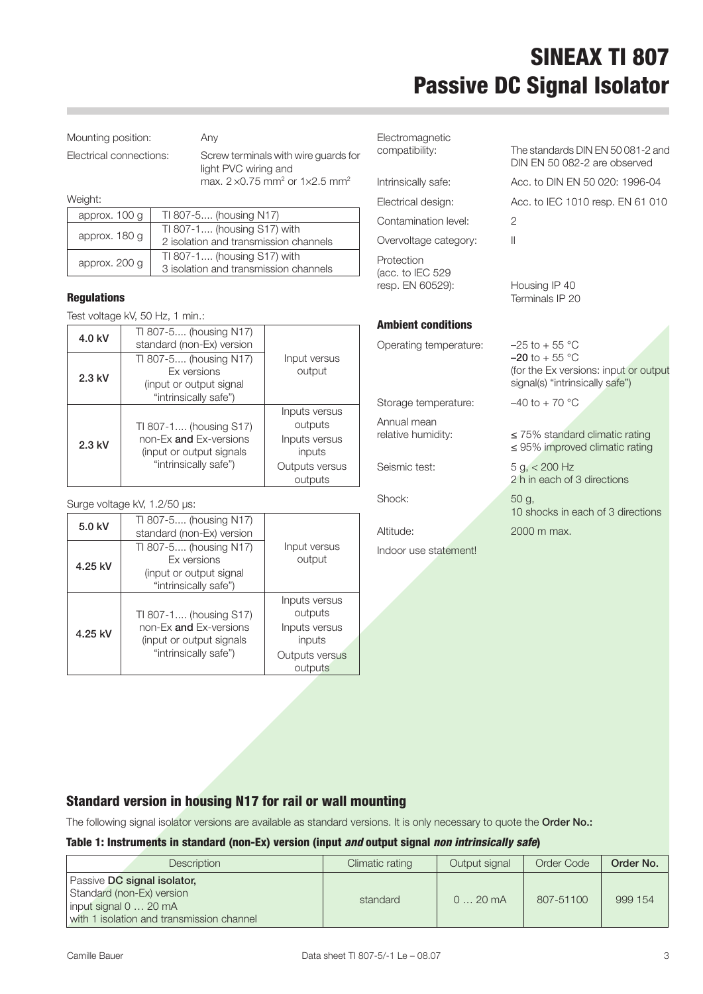Mounting position: Any

Electrical connections: Screw terminals with wire guards for light PVC wiring and max.  $2 \times 0.75$  mm<sup>2</sup> or  $1 \times 2.5$  mm<sup>2</sup>

Weight:

| approx. 100 g | TI 807-5 (housing N17)                                               |
|---------------|----------------------------------------------------------------------|
| approx. 180 g | TI 807-1 (housing S17) with<br>2 isolation and transmission channels |
| approx. 200 g | TI 807-1 (housing S17) with<br>3 isolation and transmission channels |

#### Regulations

Test voltage kV, 50 Hz, 1 min.:

| 4.0 kV   | TI 807-5 (housing N17)<br>standard (non-Ex) version                                               |                           |
|----------|---------------------------------------------------------------------------------------------------|---------------------------|
| $2.3$ kV | TI 807-5 (housing N17)<br><b>Fx</b> versions<br>(input or output signal)<br>"intrinsically safe") | Input versus<br>output    |
|          | TI 807-1 (housing S17)                                                                            | Inputs versus<br>outputs  |
| $2.3$ kV | non-Ex and Ex-versions<br>(input or output signals)                                               | Inputs versus<br>inputs   |
|          | "intrinsically safe")                                                                             | Outputs versus<br>outputs |

Surge voltage kV, 1.2/50 µs:

| 5.0 kV  | TI 807-5 (housing N17)<br>standard (non-Ex) version                                                   |                                                                                  |
|---------|-------------------------------------------------------------------------------------------------------|----------------------------------------------------------------------------------|
| 4.25 kV | TI 807-5 (housing N17)<br><b>Fx</b> versions<br>(input or output signal<br>"intrinsically safe")      | Input versus<br>output                                                           |
| 4.25 kV | TI 807-1 (housing S17)<br>non-Ex and Ex-versions<br>(input or output signals<br>"intrinsically safe") | Inputs versus<br>outputs<br>Inputs versus<br>inputs<br>Outputs versus<br>outputs |

Electromagnetic

Contamination level: 2 Overvoltage category: II

Protection (acc. to IEC 529 resp. EN 60529): Housing IP 40

#### Ambient conditions

Operating temperature: -

Storage temperature:  $-40$  to +70 °C

Annual mean<br>relative humidity:

Shock: 50 g,

Indoor use statement!

compatibility: The standards DIN EN 50 081-2 and DIN EN 50 082-2 are observed Intrinsically safe: Acc. to DIN EN 50 020: 1996-04 Electrical design: Acc. to IEC 1010 resp. EN 61 010

Terminals IP 20

| $-25$ to + 55 °C                      |
|---------------------------------------|
| $-20$ to + 55 °C                      |
| (for the Ex versions: input or output |
| signal(s) "intrinsically safe")       |

 $\mathcal{A}$ 

≤ 75% standard climatic rating ≤ 95% improved climatic rating

Seismic test:  $5 q, < 200 Hz$ 2 h in each of 3 directions

10 shocks in each of 3 directions Altitude: 2000 m max.

### Standard version in housing N17 for rail or wall mounting

The following signal isolator versions are available as standard versions. It is only necessary to quote the Order No.:

#### Table 1: Instruments in standard (non-Ex) version (input and output signal non intrinsically safe)

| Description                                                                                                                         | Climatic rating | Output signal | Order Code | Order No. |
|-------------------------------------------------------------------------------------------------------------------------------------|-----------------|---------------|------------|-----------|
| Passive DC signal isolator.<br>Standard (non-Ex) version<br>$ $ input signal $0$ 20 mA<br>with 1 isolation and transmission channel | standard        | 020mA         | 807-51100  | 999 154   |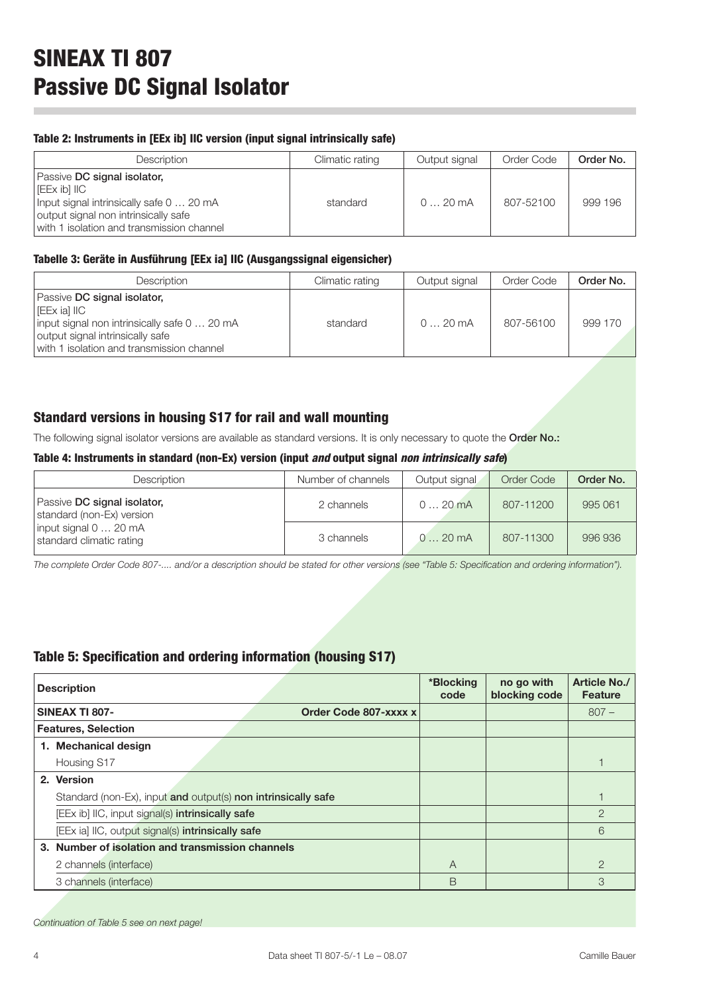#### Table 2: Instruments in [EEx ib] IIC version (input signal intrinsically safe)

| Description                                                                                                                                                                    | Climatic rating | Output signal | Order Code | Order No. |
|--------------------------------------------------------------------------------------------------------------------------------------------------------------------------------|-----------------|---------------|------------|-----------|
| Passive DC signal isolator,<br>l [EEx ib] IIC<br>Input signal intrinsically safe 0  20 mA<br>output signal non intrinsically safe<br>with 1 isolation and transmission channel | standard        | $020$ mA      | 807-52100  | 999 196   |

#### Tabelle 3: Geräte in Ausführung [EEx ia] IIC (Ausgangssignal eigensicher)

| Description                                                                                                                                                                    | Climatic rating | Output signal | Order Code | Order No. |
|--------------------------------------------------------------------------------------------------------------------------------------------------------------------------------|-----------------|---------------|------------|-----------|
| Passive DC signal isolator,<br>l [EEx ia] IIC<br>input signal non intrinsically safe 0  20 mA<br>output signal intrinsically safe<br>with 1 isolation and transmission channel | standard        | 020mA         | 807-56100  | 999 170   |

#### Standard versions in housing S17 for rail and wall mounting

The following signal isolator versions are available as standard versions. It is only necessary to quote the Order No.:

#### Table 4: Instruments in standard (non-Ex) version (input and output signal non intrinsically safe)

| Description                                              | Number of channels | Output signal | Order Code | Order No. |
|----------------------------------------------------------|--------------------|---------------|------------|-----------|
| Passive DC signal isolator,<br>standard (non-Ex) version | 2 channels         | $020$ mA      | 807-11200  | 995 061   |
| input signal 0  20 mA<br>standard climatic rating        | 3 channels         | $020$ mA      | 807-11300  | 996 936   |

The complete Order Code 807-.... and/or a description should be stated for other versions (see "Table 5: Specification and ordering information").

#### Table 5: Specification and ordering information (housing S17)

| <b>Description</b>                                            |   | no go with<br>blocking code | <b>Article No./</b><br><b>Feature</b> |
|---------------------------------------------------------------|---|-----------------------------|---------------------------------------|
| <b>SINEAX TI 807-</b><br>Order Code 807-xxxx x                |   |                             | $807 -$                               |
| <b>Features, Selection</b>                                    |   |                             |                                       |
| 1. Mechanical design                                          |   |                             |                                       |
| Housing S17                                                   |   |                             |                                       |
| 2. Version                                                    |   |                             |                                       |
| Standard (non-Ex), input and output(s) non intrinsically safe |   |                             |                                       |
| [EEx ib] IIC, input signal(s) intrinsically safe              |   |                             | $\overline{2}$                        |
| [EEx ia] IIC, output signal(s) intrinsically safe             |   |                             | 6                                     |
| 3. Number of isolation and transmission channels              |   |                             |                                       |
| 2 channels (interface)                                        | A |                             | $\overline{2}$                        |
| 3 channels (interface)                                        | B |                             | 3                                     |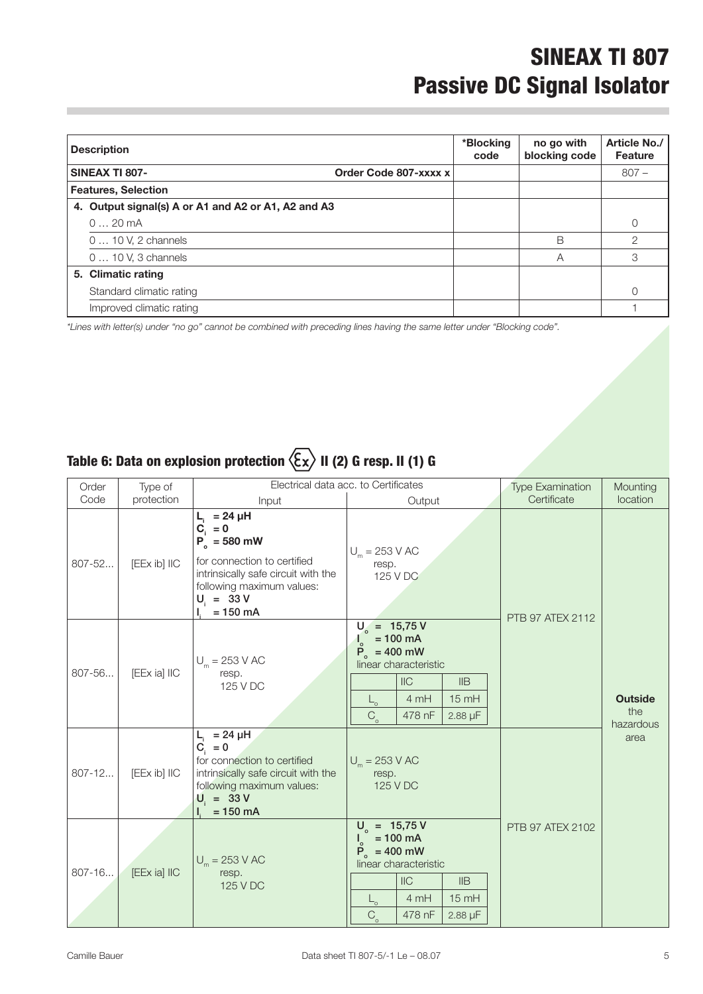| <b>Description</b>                             |                                                     | *Blocking<br>code | no go with<br>blocking code | Article No./<br><b>Feature</b> |
|------------------------------------------------|-----------------------------------------------------|-------------------|-----------------------------|--------------------------------|
| <b>SINEAX TI 807-</b><br>Order Code 807-xxxx x |                                                     |                   |                             | $807 -$                        |
| <b>Features, Selection</b>                     |                                                     |                   |                             |                                |
|                                                | 4. Output signal(s) A or A1 and A2 or A1, A2 and A3 |                   |                             |                                |
|                                                | $020$ mA                                            |                   |                             | $\mathcal{O}$                  |
|                                                | 0  10 V, 2 channels                                 |                   | B                           | $\overline{2}$                 |
|                                                | 0  10 V, 3 channels                                 |                   | А                           | 3                              |
|                                                | 5. Climatic rating                                  |                   |                             |                                |
|                                                | Standard climatic rating                            |                   |                             | $\Omega$                       |
|                                                | Improved climatic rating                            |                   |                             |                                |

\*Lines with letter(s) under "no go" cannot be combined with preceding lines having the same letter under "Blocking code".

### Table 6: Data on explosion protection  $\langle \overline{\xi x} \rangle$  II (2) G resp. II (1) G

| Order<br>Code | Type of<br>protection | Electrical data acc. to Certificates<br>Output<br>Input                                                                                                                            |                                                                                                                                                                                | <b>Type Examination</b><br>Certificate | Mounting<br>location                       |
|---------------|-----------------------|------------------------------------------------------------------------------------------------------------------------------------------------------------------------------------|--------------------------------------------------------------------------------------------------------------------------------------------------------------------------------|----------------------------------------|--------------------------------------------|
| 807-52        | [EEx ib] IIC          | $L_i = 24 \mu H$<br>$C_i = 0$<br>$P_{o} = 580$ mW<br>for connection to certified<br>intrinsically safe circuit with the<br>following maximum values:<br>$U_i = 33 V$<br>$= 150$ mA | $U_m = 253$ V AC<br>resp.<br>125 V DC                                                                                                                                          | <b>PTB 97 ATEX 2112</b>                |                                            |
| 807-56        | [EEx ia] IIC          | $U_m = 253$ V AC<br>resp.<br>125 V DC                                                                                                                                              | $U_{o}$ = 15,75 V<br>$= 100$ mA<br>$P_0 = 400$ mW<br>linear characteristic<br>$II$<br>IIB<br>4 mH<br>$15$ mH<br>└○<br>$C_{\alpha}$<br>$2.88 \mu F$<br>478 nF                   |                                        | <b>Outside</b><br>the<br>hazardous<br>area |
| $807 - 12$    | [EEx ib] IIC          | $= 24 \mu H$<br>L,<br>$C_i = 0$<br>for connection to certified<br>intrinsically safe circuit with the<br>following maximum values:<br>$U_i = 33 V$<br>$= 150$ mA                   | $U_m = 253$ V AC<br>resp.<br>125 V DC                                                                                                                                          |                                        |                                            |
| $807 - 16$    | [EEx ia] IIC          | $U_m = 253 \text{ V AC}$<br>resp.<br>125 V DC                                                                                                                                      | $U_{0}$ = 15,75 V<br>$= 100$ mA<br>$P_{o} = 400$ mW<br>linear characteristic<br>$II$<br>IIB<br>4 mH<br>$15 \text{ mH}$<br>$L_{\circ}$<br>$C_{\circ}$<br>478 nF<br>$2.88 \mu F$ | <b>PTB 97 ATEX 2102</b>                |                                            |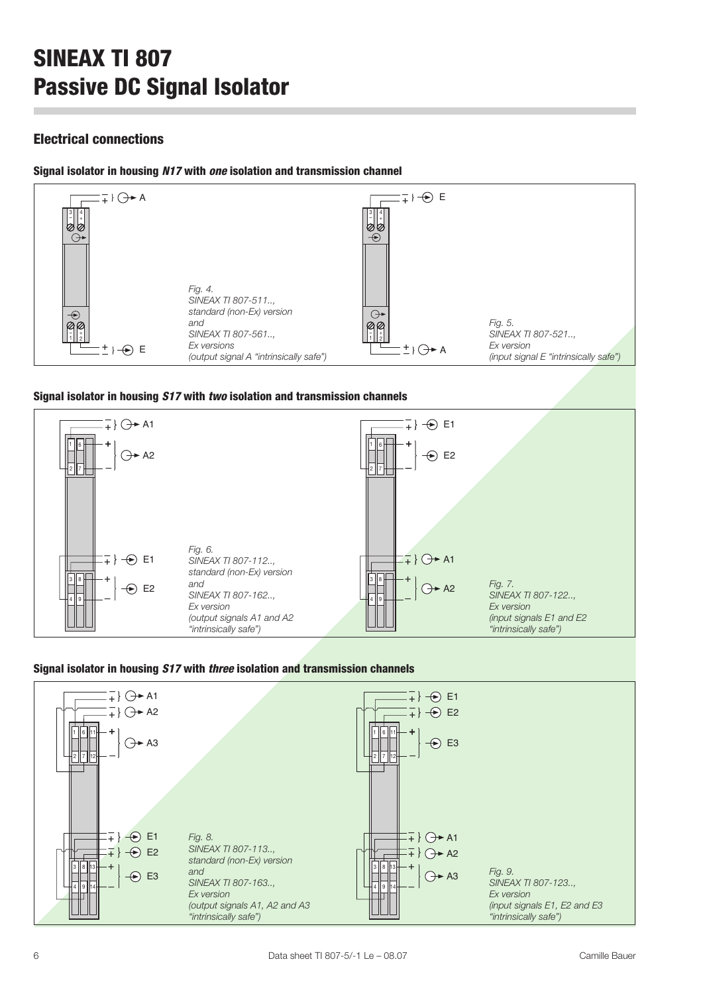### Electrical connections

#### Signal isolator in housing N17 with one isolation and transmission channel



#### Signal isolator in housing S17 with two isolation and transmission channels



#### Signal isolator in housing S17 with three isolation and transmission channels